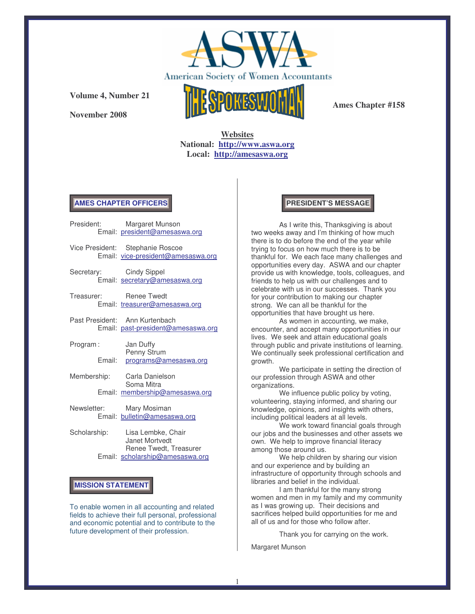

**November 2008**



**Ames Chapter #158**

**Websites National: http://www.aswa.org Local: http://amesaswa.org**

### **AMES CHAPTER OFFICERS**

|                    | President: Margaret Munson<br>Email: president@amesaswa.org                 |  |
|--------------------|-----------------------------------------------------------------------------|--|
|                    | Vice President: Stephanie Roscoe<br>Email: vice-president@amesaswa.org      |  |
|                    | Secretary: Cindy Sippel<br>Email: secretary@amesaswa.org                    |  |
|                    | Treasurer: Renee Twedt<br>Email: treasurer@amesaswa.org                     |  |
|                    | Past President: Ann Kurtenbach<br>Email: past-president@amesaswa.org        |  |
| Program:<br>Fmail: | Jan Duffy<br>Penny Strum<br>programs@amesaswa.org                           |  |
|                    | Membership: Carla Danielson<br>Soma Mitra<br>Email: membership@amesaswa.org |  |
| Newsletter:        | Mary Mosiman<br>Email: bulletin@amesaswa.org                                |  |
| Scholarship:       | Lisa Lembke, Chair<br>Janet Mortvedt.                                       |  |

Janet Mortvedt Renee Twedt, Treasurer Email: scholarship@amesaswa.org

# **MISSION STATEMENT**

To enable women in all accounting and related fields to achieve their full personal, professional and economic potential and to contribute to the future development of their profession.

### **PRESIDENT'S MESSAGE**

As I write this, Thanksgiving is about two weeks away and I'm thinking of how much there is to do before the end of the year while trying to focus on how much there is to be thankful for. We each face many challenges and opportunities every day. ASWA and our chapter provide us with knowledge, tools, colleagues, and friends to help us with our challenges and to celebrate with us in our successes. Thank you for your contribution to making our chapter strong. We can all be thankful for the opportunities that have brought us here.

As women in accounting, we make, encounter, and accept many opportunities in our lives. We seek and attain educational goals through public and private institutions of learning. We continually seek professional certification and growth.

We participate in setting the direction of our profession through ASWA and other organizations.

We influence public policy by voting, volunteering, staying informed, and sharing our knowledge, opinions, and insights with others, including political leaders at all levels.

We work toward financial goals through our jobs and the businesses and other assets we own. We help to improve financial literacy among those around us.

We help children by sharing our vision and our experience and by building an infrastructure of opportunity through schools and libraries and belief in the individual.

I am thankful for the many strong women and men in my family and my community as I was growing up. Their decisions and sacrifices helped build opportunities for me and all of us and for those who follow after.

Thank you for carrying on the work.

Margaret Munson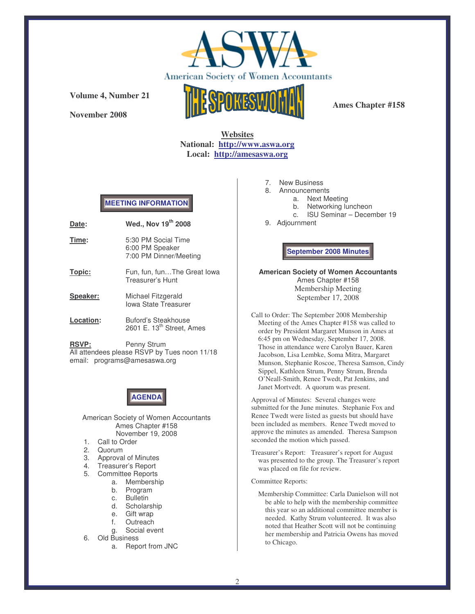

**November 2008**



**Ames Chapter #158**

# **Websites National: http://www.aswa.org Local: http://amesaswa.org**

# **MEETING INFORMATION**

| Date: | Wed., Nov 19th 2008                    |
|-------|----------------------------------------|
| Time: | 5:30 PM Social Time<br>6:00 PM Speaker |
|       | 7:00 PM Dinner/Meeting                 |

- **Topic:** Fun, fun, fun...The Great Iowa Treasurer's Hunt
- **Speaker:** Michael Fitzgerald Iowa State Treasurer
- **Location:** Buford's Steakhouse 2601 E. 13<sup>th</sup> Street, Ames

**RSVP:** Penny Strum All attendees please RSVP by Tues noon 11/18 email: programs@amesaswa.org

# **AGENDA**

American Society of Women Accountants Ames Chapter #158 November 19, 2008

- 1. Call to Order
- 2. Quorum
- 
- 3. Approval of Minutes<br>4. Treasurer's Report 4. Treasurer's Report
- 5. Committee Reports
	- a. Membership
		- b. Program
		- c. Bulletin
		- d. Scholarship
		- e. Gift wrap
		- f. Outreach
		- g. Social event
- 6. Old Business
	- a. Report from JNC
- 7. New Business
- 8. Announcements
	- a. Next Meeting
	- b. Networking luncheon
	- c. ISU Seminar December 19
- 9. Adjournment

**September 2008 Minutes**

**American Society of Women Accountants** Ames Chapter #158 Membership Meeting September 17, 2008

Call to Order: The September 2008 Membership Meeting of the Ames Chapter #158 was called to order by President Margaret Munson in Ames at 6:45 pm on Wednesday, September 17, 2008. Those in attendance were Carolyn Bauer, Karen Jacobson, Lisa Lembke, Soma Mitra, Margaret Munson, Stephanie Roscoe, Theresa Samson, Cindy Sippel, Kathleen Strum, Penny Strum, Brenda O'Neall-Smith, Renee Twedt, Pat Jenkins, and Janet Mortvedt. A quorum was present.

Approval of Minutes: Several changes were submitted for the June minutes. Stephanie Fox and Renee Twedt were listed as guests but should have been included as members. Renee Twedt moved to approve the minutes as amended. Theresa Sampson seconded the motion which passed.

Treasurer's Report: Treasurer's report for August was presented to the group. The Treasurer's report was placed on file for review.

#### Committee Reports:

Membership Committee: Carla Danielson will not be able to help with the membership committee this year so an additional committee member is needed. Kathy Strum volunteered. It was also noted that Heather Scott will not be continuing her membership and Patricia Owens has moved to Chicago.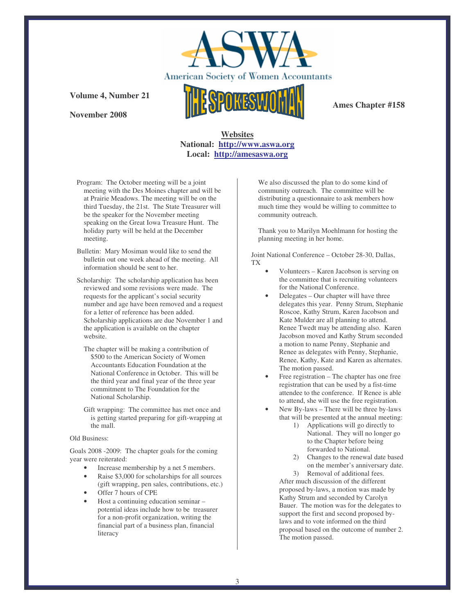

**November 2008**



**Ames Chapter #158**

# **Websites National: http://www.aswa.org Local: http://amesaswa.org**

- Program: The October meeting will be a joint meeting with the Des Moines chapter and will be at Prairie Meadows. The meeting will be on the third Tuesday, the 21st. The State Treasurer will be the speaker for the November meeting speaking on the Great Iowa Treasure Hunt. The holiday party will be held at the December meeting.
- Bulletin: Mary Mosiman would like to send the bulletin out one week ahead of the meeting. All information should be sent to her.
- Scholarship: The scholarship application has been reviewed and some revisions were made. The requests for the applicant's social security number and age have been removed and a request for a letter of reference has been added. Scholarship applications are due November 1 and the application is available on the chapter website.
	- The chapter will be making a contribution of \$500 to the American Society of Women Accountants Education Foundation at the National Conference in October. This will be the third year and final year of the three year commitment to The Foundation for the National Scholarship.
	- Gift wrapping: The committee has met once and is getting started preparing for gift-wrapping at the mall.

#### Old Business:

Goals 2008 -2009: The chapter goals for the coming year were reiterated:

- Increase membership by a net 5 members.
- Raise \$3,000 for scholarships for all sources (gift wrapping, pen sales, contributions, etc.)
- Offer 7 hours of CPE
- Host a continuing education seminar potential ideas include how to be treasurer for a non-profit organization, writing the financial part of a business plan, financial literacy

We also discussed the plan to do some kind of community outreach. The committee will be distributing a questionnaire to ask members how much time they would be willing to committee to community outreach.

Thank you to Marilyn Moehlmann for hosting the planning meeting in her home.

Joint National Conference – October 28-30, Dallas, TX

- Volunteers Karen Jacobson is serving on the committee that is recruiting volunteers for the National Conference.
- Delegates Our chapter will have three delegates this year. Penny Strum, Stephanie Roscoe, Kathy Strum, Karen Jacobson and Kate Mulder are all planning to attend. Renee Twedt may be attending also. Karen Jacobson moved and Kathy Strum seconded a motion to name Penny, Stephanie and Renee as delegates with Penny, Stephanie, Renee, Kathy, Kate and Karen as alternates. The motion passed.
- Free registration The chapter has one free registration that can be used by a fist-time attendee to the conference. If Renee is able to attend, she will use the free registration.
- New By-laws There will be three by-laws that will be presented at the annual meeting:
	- 1) Applications will go directly to National. They will no longer go to the Chapter before being forwarded to National.
	- 2) Changes to the renewal date based on the member's anniversary date. 3) Removal of additional fees.

After much discussion of the different proposed by-laws, a motion was made by Kathy Strum and seconded by Carolyn Bauer. The motion was for the delegates to support the first and second proposed bylaws and to vote informed on the third proposal based on the outcome of number 2. The motion passed.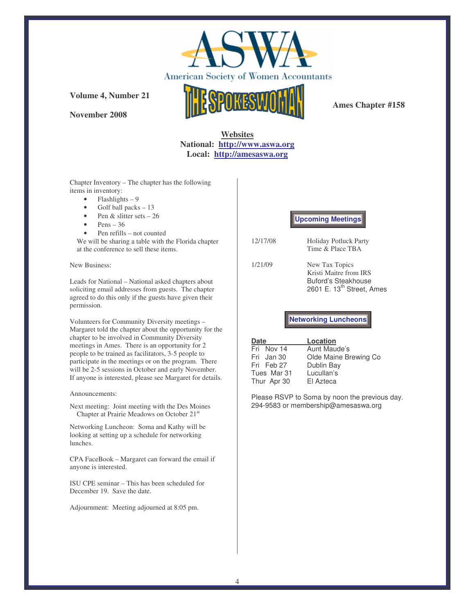

**November 2008**



**Ames Chapter #158**

# **Websites National: http://www.aswa.org Local: http://amesaswa.org**

Chapter Inventory – The chapter has the following items in inventory:

- $\bullet$  Flashlights 9
- Golf ball packs 13
- Pen  $&$  slitter sets  $-26$
- $\bullet$  Pens 36
- Pen refills not counted

We will be sharing a table with the Florida chapter at the conference to sell these items.

New Business:

Leads for National – National asked chapters about soliciting email addresses from guests. The chapter agreed to do this only if the guests have given their permission.

Volunteers for Community Diversity meetings – Margaret told the chapter about the opportunity for the chapter to be involved in Community Diversity meetings in Ames. There is an opportunity for 2 people to be trained as facilitators, 3-5 people to participate in the meetings or on the program. There will be 2-5 sessions in October and early November. If anyone is interested, please see Margaret for details.

Announcements:

Next meeting: Joint meeting with the Des Moines Chapter at Prairie Meadows on October 21 st

Networking Luncheon: Soma and Kathy will be looking at setting up a schedule for networking lunches.

CPA FaceBook – Margaret can forward the email if anyone is interested.

ISU CPE seminar – This has been scheduled for December 19. Save the date.

Adjournment: Meeting adjourned at 8:05 pm.

### **Upcoming Meetings**

- 12/17/08 Holiday Potluck Party Time & Place TBA
- 1/21/09 New Tax Topics Kristi Maitre from IRS Buford's Steakhouse 2601 E. 13<sup>th</sup> Street, Ames

**Networking Luncheons**

| <b>Date</b> | Location              |
|-------------|-----------------------|
| Fri Nov 14  | Aunt Maude's          |
| Fri Jan 30  | Olde Maine Brewing Co |
| Fri Feb 27  | Dublin Bay            |
| Tues Mar 31 | Lucullan's            |
| Thur Apr 30 | El Azteca             |

Please RSVP to Soma by noon the previous day. 294-9583 or membership@amesaswa.org